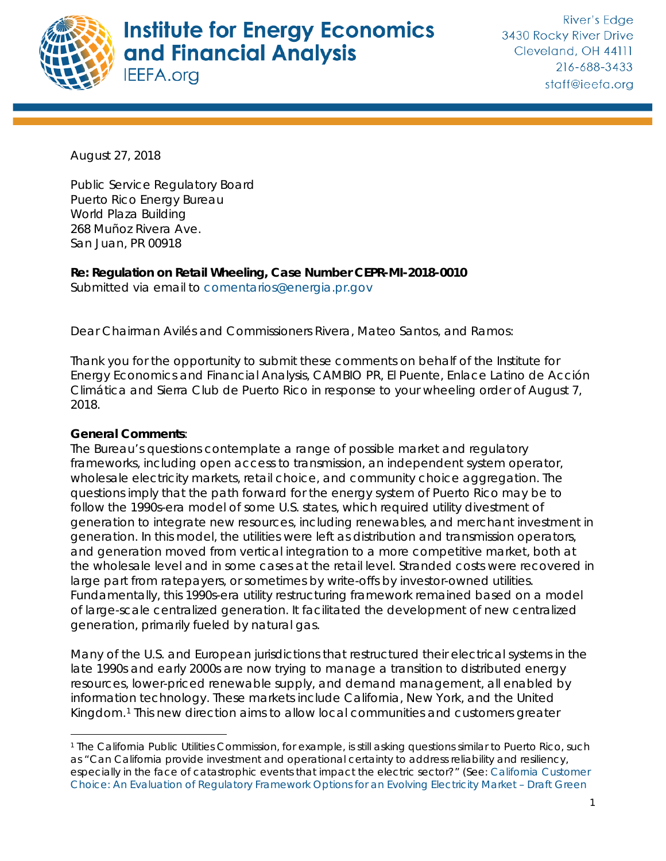

## **Institute for Energy Economics** and Financial Analysis **IEEFA.org**

August 27, 2018

Public Service Regulatory Board Puerto Rico Energy Bureau World Plaza Building 268 Muñoz Rivera Ave. San Juan, PR 00918

**Re: Regulation on Retail Wheeling, Case Number CEPR-MI-2018-0010** Submitted via email to [comentarios@energia.pr.gov](mailto:comentarios@energia.pr.gov)

Dear Chairman Avilés and Commissioners Rivera, Mateo Santos, and Ramos:

Thank you for the opportunity to submit these comments on behalf of the Institute for Energy Economics and Financial Analysis, CAMBIO PR, El Puente, Enlace Latino de Acción Climática and Sierra Club de Puerto Rico in response to your wheeling order of August 7, 2018.

#### **General Comments**:

The Bureau's questions contemplate a range of possible market and regulatory frameworks, including open access to transmission, an independent system operator, wholesale electricity markets, retail choice, and community choice aggregation. The questions imply that the path forward for the energy system of Puerto Rico may be to follow the 1990s-era model of some U.S. states, which required utility divestment of generation to integrate new resources, including renewables, and merchant investment in generation. In this model, the utilities were left as distribution and transmission operators, and generation moved from vertical integration to a more competitive market, both at the wholesale level and in some cases at the retail level. Stranded costs were recovered in large part from ratepayers, or sometimes by write-offs by investor-owned utilities. Fundamentally, this 1990s-era utility restructuring framework remained based on a model of large-scale centralized generation. It facilitated the development of new centralized generation, primarily fueled by natural gas.

Many of the U.S. and European jurisdictions that restructured their electrical systems in the late 1990s and early 2000s are now trying to manage a transition to distributed energy resources, lower-priced renewable supply, and demand management, all enabled by information technology. These markets include California, New York, and the United Kingdom.[1](#page-0-0) This new direction aims to allow local communities and customers greater

<span id="page-0-0"></span> <sup>1</sup> The California Public Utilities Commission, for example, is still asking questions similar to Puerto Rico, such as "Can California provide investment and operational certainty to address reliability and resiliency, especially in the face of catastrophic events that impact the electric sector?" (See: *[California Customer](http://www.cpuc.ca.gov/uploadedFiles/CPUC_Public_Website/Content/Utilities_and_Industries/Energy_-_Electricity_and_Natural_Gas/CCC%20Paper.pdf)  [Choice: An Evaluation of Regulatory Framework Options for an Evolving Electricity Market –](http://www.cpuc.ca.gov/uploadedFiles/CPUC_Public_Website/Content/Utilities_and_Industries/Energy_-_Electricity_and_Natural_Gas/CCC%20Paper.pdf) Draft Green*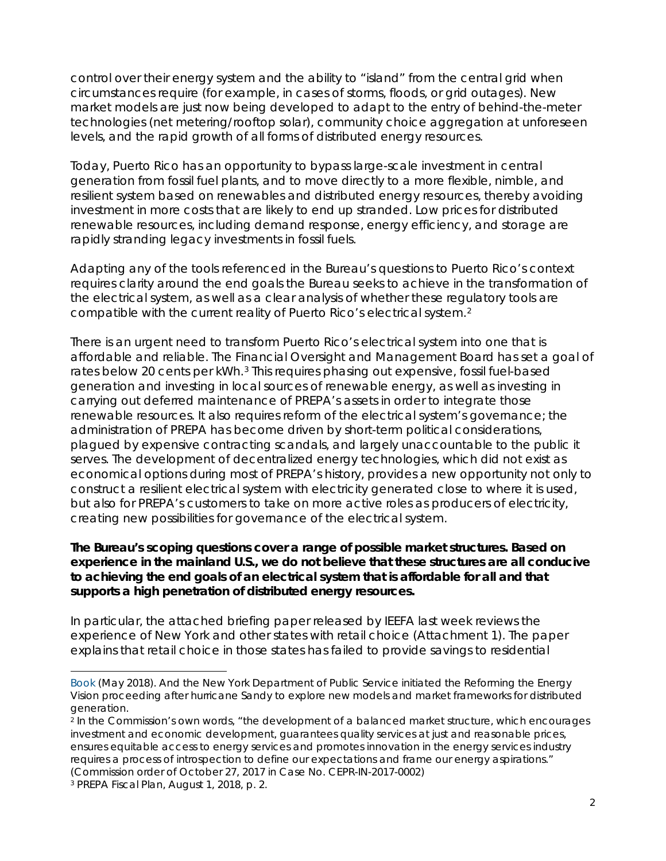control over their energy system and the ability to "island" from the central grid when circumstances require (for example, in cases of storms, floods, or grid outages). New market models are just now being developed to adapt to the entry of behind-the-meter technologies (net metering/rooftop solar), community choice aggregation at unforeseen levels, and the rapid growth of all forms of distributed energy resources.

Today, Puerto Rico has an opportunity to bypass large-scale investment in central generation from fossil fuel plants, and to move directly to a more flexible, nimble, and resilient system based on renewables and distributed energy resources, thereby avoiding investment in more costs that are likely to end up stranded. Low prices for distributed renewable resources, including demand response, energy efficiency, and storage are rapidly stranding legacy investments in fossil fuels.

Adapting any of the tools referenced in the Bureau's questions to Puerto Rico's context requires clarity around the end goals the Bureau seeks to achieve in the transformation of the electrical system, as well as a clear analysis of whether these regulatory tools are compatible with the current reality of Puerto Rico's electrical system[.2](#page-1-0)

There is an urgent need to transform Puerto Rico's electrical system into one that is affordable and reliable. The Financial Oversight and Management Board has set a goal of rates below 20 cents per kWh.<sup>[3](#page-1-1)</sup> This requires phasing out expensive, fossil fuel-based generation and investing in local sources of renewable energy, as well as investing in carrying out deferred maintenance of PREPA's assets in order to integrate those renewable resources. It also requires reform of the electrical system's governance; the administration of PREPA has become driven by short-term political considerations, plagued by expensive contracting scandals, and largely unaccountable to the public it serves. The development of decentralized energy technologies, which did not exist as economical options during most of PREPA's history, provides a new opportunity not only to construct a resilient electrical system with electricity generated close to where it is used, but also for PREPA's customers to take on more active roles as producers of electricity, creating new possibilities for governance of the electrical system.

#### **The Bureau's scoping questions cover a range of possible market structures. Based on experience in the mainland U.S., we do not believe that these structures are all conducive to achieving the end goals of an electrical system that is affordable for all and that supports a high penetration of distributed energy resources.**

In particular, the attached briefing paper released by IEEFA last week reviews the experience of New York and other states with retail choice (Attachment 1). The paper explains that retail choice in those states has failed to provide savings to residential

 $\overline{a}$ 

*[Book](http://www.cpuc.ca.gov/uploadedFiles/CPUC_Public_Website/Content/Utilities_and_Industries/Energy_-_Electricity_and_Natural_Gas/CCC%20Paper.pdf)* (May 2018). And the New York Department of Public Service initiated the Reforming the Energy Vision proceeding after hurricane Sandy to explore new models and market frameworks for distributed generation.

<span id="page-1-0"></span><sup>&</sup>lt;sup>2</sup> In the Commission's own words, "the development of a balanced market structure, which encourages investment and economic development, guarantees quality services at just and reasonable prices, ensures equitable access to energy services and promotes innovation in the energy services industry requires a process of introspection to define our expectations and frame our energy aspirations." (Commission order of October 27, 2017 in Case No. CEPR-IN-2017-0002)

<span id="page-1-1"></span><sup>3</sup> PREPA Fiscal Plan, August 1, 2018, p. 2.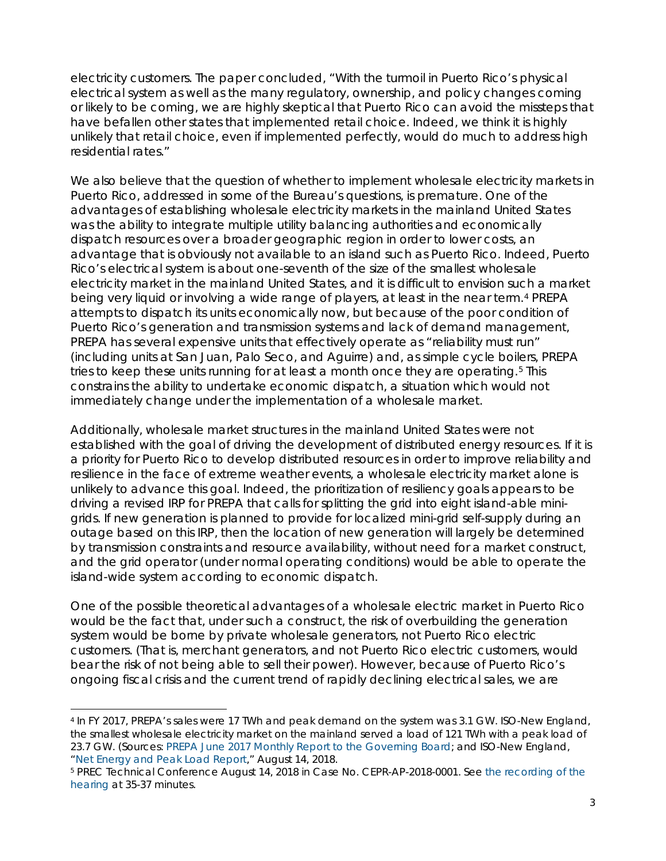electricity customers. The paper concluded, "With the turmoil in Puerto Rico's physical electrical system as well as the many regulatory, ownership, and policy changes coming or likely to be coming, we are highly skeptical that Puerto Rico can avoid the missteps that have befallen other states that implemented retail choice. Indeed, we think it is highly unlikely that retail choice, even if implemented perfectly, would do much to address high residential rates."

We also believe that the question of whether to implement wholesale electricity markets in Puerto Rico, addressed in some of the Bureau's questions, is premature. One of the advantages of establishing wholesale electricity markets in the mainland United States was the ability to integrate multiple utility balancing authorities and economically dispatch resources over a broader geographic region in order to lower costs, an advantage that is obviously not available to an island such as Puerto Rico. Indeed, Puerto Rico's electrical system is about one-seventh of the size of the smallest wholesale electricity market in the mainland United States, and it is difficult to envision such a market being very liquid or involving a wide range of players, at least in the near term.<sup>[4](#page-2-1)</sup> PREPA attempts to dispatch its units economically now, but because of the poor condition of Puerto Rico's generation and transmission systems and lack of demand management, PREPA has several expensive units that effectively operate as "reliability must run" (including units at San Juan, Palo Seco, and Aguirre) and, as simple cycle boilers, PREPA tries to keep these units running for at least a month once they are operating.<sup>[5](#page-2-0)</sup> This constrains the ability to undertake economic dispatch, a situation which would not immediately change under the implementation of a wholesale market.

Additionally, wholesale market structures in the mainland United States were not established with the goal of driving the development of distributed energy resources. If it is a priority for Puerto Rico to develop distributed resources in order to improve reliability and resilience in the face of extreme weather events, a wholesale electricity market alone is unlikely to advance this goal. Indeed, the prioritization of resiliency goals appears to be driving a revised IRP for PREPA that calls for splitting the grid into eight island-able minigrids. If new generation is planned to provide for localized mini-grid self-supply during an outage based on this IRP, then the location of new generation will largely be determined by transmission constraints and resource availability, without need for a market construct, and the grid operator (under normal operating conditions) would be able to operate the island-wide system according to economic dispatch.

One of the possible theoretical advantages of a wholesale electric market in Puerto Rico would be the fact that, under such a construct, the risk of overbuilding the generation system would be borne by private wholesale generators, not Puerto Rico electric customers. (That is, merchant generators, and not Puerto Rico electric customers, would bear the risk of not being able to sell their power). However, because of Puerto Rico's ongoing fiscal crisis and the current trend of rapidly declining electrical sales, we are

<span id="page-2-1"></span> <sup>4</sup> In FY 2017, PREPA's sales were 17 TWh and peak demand on the system was 3.1 GW. ISO-New England, the smallest wholesale electricity market on the mainland served a load of 121 TWh with a peak load of 23.7 GW. (Sources: [PREPA June 2017 Monthly Report to the Governing Board;](https://www.aeepr.com/INVESTORS/DOCS/Financial%20Information/Monthly%20Reports/2017/June%202017.pdf) and ISO-New England, ["Net Energy and Peak Load Report,](https://www.iso-ne.com/isoexpress/web/reports/load-and-demand/-/tree/net-ener-peak-load)" August 14, 2018.

<span id="page-2-0"></span><sup>&</sup>lt;sup>5</sup> PREC Technical Conference August 14, 2018 in Case No. CEPR-AP-2018-0001. See the recording of the [hearing](https://www.youtube.com/watch?v=HAl_4knmhd8) at 35-37 minutes.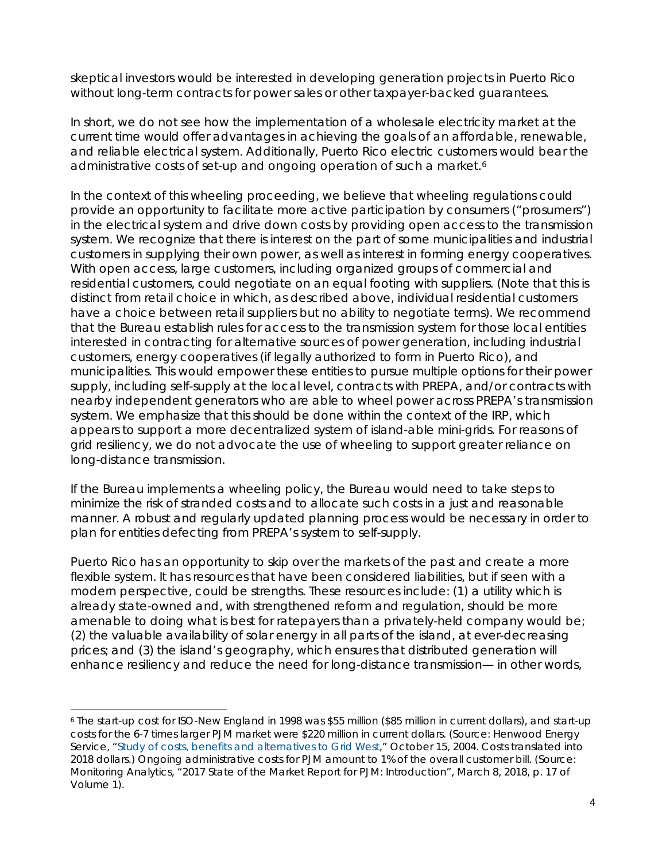skeptical investors would be interested in developing generation projects in Puerto Rico without long-term contracts for power sales or other taxpayer-backed guarantees.

In short, we do not see how the implementation of a wholesale electricity market at the current time would offer advantages in achieving the goals of an affordable, renewable, and reliable electrical system. Additionally, Puerto Rico electric customers would bear the administrative costs of set-up and ongoing operation of such a market.<sup>[6](#page-3-0)</sup>

In the context of this wheeling proceeding, we believe that wheeling regulations could provide an opportunity to facilitate more active participation by consumers ("prosumers") in the electrical system and drive down costs by providing open access to the transmission system. We recognize that there is interest on the part of some municipalities and industrial customers in supplying their own power, as well as interest in forming energy cooperatives. With open access, large customers, including organized groups of commercial and residential customers, could negotiate on an equal footing with suppliers. (Note that this is distinct from retail choice in which, as described above, individual residential customers have a choice between retail suppliers but no ability to negotiate terms). We recommend that the Bureau establish rules for access to the transmission system for those local entities interested in contracting for alternative sources of power generation, including industrial customers, energy cooperatives (if legally authorized to form in Puerto Rico), and municipalities. This would empower these entities to pursue multiple options for their power supply, including self-supply at the local level, contracts with PREPA, and/or contracts with nearby independent generators who are able to wheel power across PREPA's transmission system. We emphasize that this should be done within the context of the IRP, which appears to support a more decentralized system of island-able mini-grids. For reasons of grid resiliency, we do not advocate the use of wheeling to support greater reliance on long-distance transmission.

If the Bureau implements a wheeling policy, the Bureau would need to take steps to minimize the risk of stranded costs and to allocate such costs in a just and reasonable manner. A robust and regularly updated planning process would be necessary in order to plan for entities defecting from PREPA's system to self-supply.

Puerto Rico has an opportunity to skip over the markets of the past and create a more flexible system. It has resources that have been considered liabilities, but if seen with a modern perspective, could be strengths. These resources include: (1) a utility which is already state-owned and, with strengthened reform and regulation, should be more amenable to doing what is best for ratepayers than a privately-held company would be; (2) the valuable availability of solar energy in all parts of the island, at ever-decreasing prices; and (3) the island's geography, which ensures that distributed generation will enhance resiliency and reduce the need for long-distance transmission— in other words,

<span id="page-3-0"></span> <sup>6</sup> The start-up cost for ISO-New England in 1998 was \$55 million (\$85 million in current dollars), and start-up costs for the 6-7 times larger PJM market were \$220 million in current dollars. (Source: Henwood Energy Service, ["Study of costs, benefits and alternatives to Grid West,](https://sites.hks.harvard.edu/hepg/Papers/Henwood.grid.west.1004.pdf)" October 15, 2004. Costs translated into 2018 dollars.) Ongoing administrative costs for PJM amount to 1% of the overall customer bill. (Source: Monitoring Analytics, "2017 State of the Market Report for PJM: Introduction", March 8, 2018, p. 17 of Volume 1).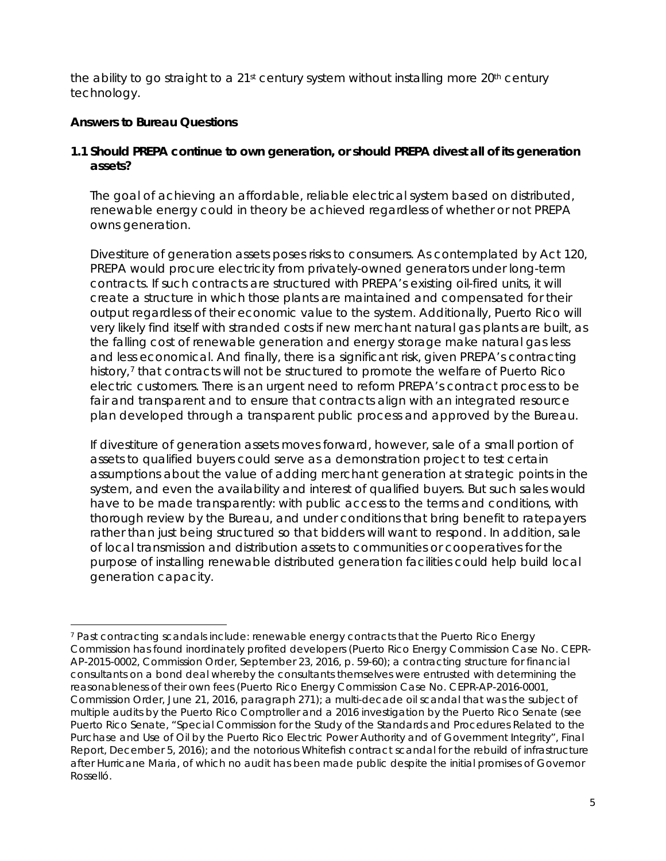the ability to go straight to a  $21<sup>st</sup>$  century system without installing more  $20<sup>th</sup>$  century technology.

#### **Answers to Bureau Questions**

#### **1.1 Should PREPA continue to own generation, or should PREPA divest all of its generation assets?**

The goal of achieving an affordable, reliable electrical system based on distributed, renewable energy could in theory be achieved regardless of whether or not PREPA owns generation.

Divestiture of generation assets poses risks to consumers. As contemplated by Act 120, PREPA would procure electricity from privately-owned generators under long-term contracts. If such contracts are structured with PREPA's existing oil-fired units, it will create a structure in which those plants are maintained and compensated for their output regardless of their economic value to the system. Additionally, Puerto Rico will very likely find itself with stranded costs if new merchant natural gas plants are built, as the falling cost of renewable generation and energy storage make natural gas less and less economical. And finally, there is a significant risk, given PREPA's contracting history,<sup>[7](#page-4-0)</sup> that contracts will not be structured to promote the welfare of Puerto Rico electric customers. There is an urgent need to reform PREPA's contract process to be fair and transparent and to ensure that contracts align with an integrated resource plan developed through a transparent public process and approved by the Bureau.

If divestiture of generation assets moves forward, however, sale of a small portion of assets to qualified buyers could serve as a demonstration project to test certain assumptions about the value of adding merchant generation at strategic points in the system, and even the availability and interest of qualified buyers. But such sales would have to be made transparently: with public access to the terms and conditions, with thorough review by the Bureau, and under conditions that bring benefit to ratepayers rather than just being structured so that bidders will want to respond. In addition, sale of local transmission and distribution assets to communities or cooperatives for the purpose of installing renewable distributed generation facilities could help build local generation capacity.

<span id="page-4-0"></span> <sup>7</sup> Past contracting scandals include: renewable energy contracts that the Puerto Rico Energy Commission has found inordinately profited developers (Puerto Rico Energy Commission Case No. CEPR-AP-2015-0002, Commission Order, September 23, 2016, p. 59-60); a contracting structure for financial consultants on a bond deal whereby the consultants themselves were entrusted with determining the reasonableness of their own fees (Puerto Rico Energy Commission Case No. CEPR-AP-2016-0001, Commission Order, June 21, 2016, paragraph 271); a multi-decade oil scandal that was the subject of multiple audits by the Puerto Rico Comptroller and a 2016 investigation by the Puerto Rico Senate (see Puerto Rico Senate, "Special Commission for the Study of the Standards and Procedures Related to the Purchase and Use of Oil by the Puerto Rico Electric Power Authority and of Government Integrity", Final Report, December 5, 2016); and the notorious Whitefish contract scandal for the rebuild of infrastructure after Hurricane Maria, of which no audit has been made public despite the initial promises of Governor Rosselló.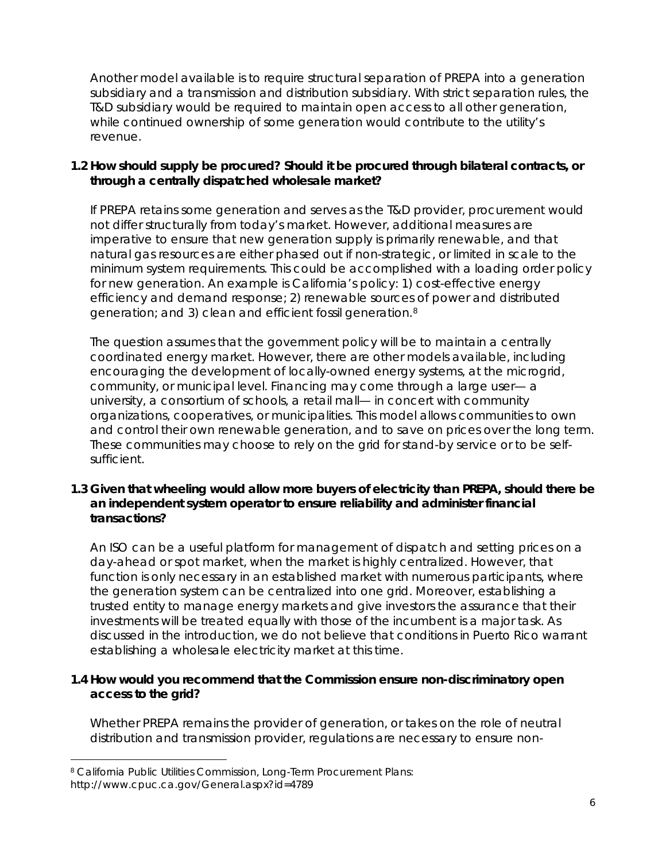Another model available is to require structural separation of PREPA into a generation subsidiary and a transmission and distribution subsidiary. With strict separation rules, the T&D subsidiary would be required to maintain open access to all other generation, while continued ownership of some generation would contribute to the utility's revenue.

#### **1.2 How should supply be procured? Should it be procured through bilateral contracts, or through a centrally dispatched wholesale market?**

If PREPA retains some generation and serves as the T&D provider, procurement would not differ structurally from today's market. However, additional measures are imperative to ensure that new generation supply is primarily renewable, and that natural gas resources are either phased out if non-strategic, or limited in scale to the minimum system requirements. This could be accomplished with a loading order policy for new generation. An example is California's policy: 1) cost-effective energy efficiency and demand response; 2) renewable sources of power and distributed generation; and 3) clean and efficient fossil generation.[8](#page-5-0)

The question assumes that the government policy will be to maintain a centrally coordinated energy market. However, there are other models available, including encouraging the development of locally-owned energy systems, at the microgrid, community, or municipal level. Financing may come through a large user— a university, a consortium of schools, a retail mall— in concert with community organizations, cooperatives, or municipalities. This model allows communities to own and control their own renewable generation, and to save on prices over the long term. These communities may choose to rely on the grid for stand-by service or to be selfsufficient.

#### **1.3 Given that wheeling would allow more buyers of electricity than PREPA, should there be an independent system operator to ensure reliability and administer financial transactions?**

An ISO can be a useful platform for management of dispatch and setting prices on a day-ahead or spot market, when the market is highly centralized. However, that function is only necessary in an established market with numerous participants, where the generation system can be centralized into one grid. Moreover, establishing a trusted entity to manage energy markets and give investors the assurance that their investments will be treated equally with those of the incumbent is a major task. As discussed in the introduction, we do not believe that conditions in Puerto Rico warrant establishing a wholesale electricity market at this time.

#### **1.4 How would you recommend that the Commission ensure non-discriminatory open access to the grid?**

Whether PREPA remains the provider of generation, or takes on the role of neutral distribution and transmission provider, regulations are necessary to ensure non-

<span id="page-5-0"></span> <sup>8</sup> California Public Utilities Commission, Long-Term Procurement Plans: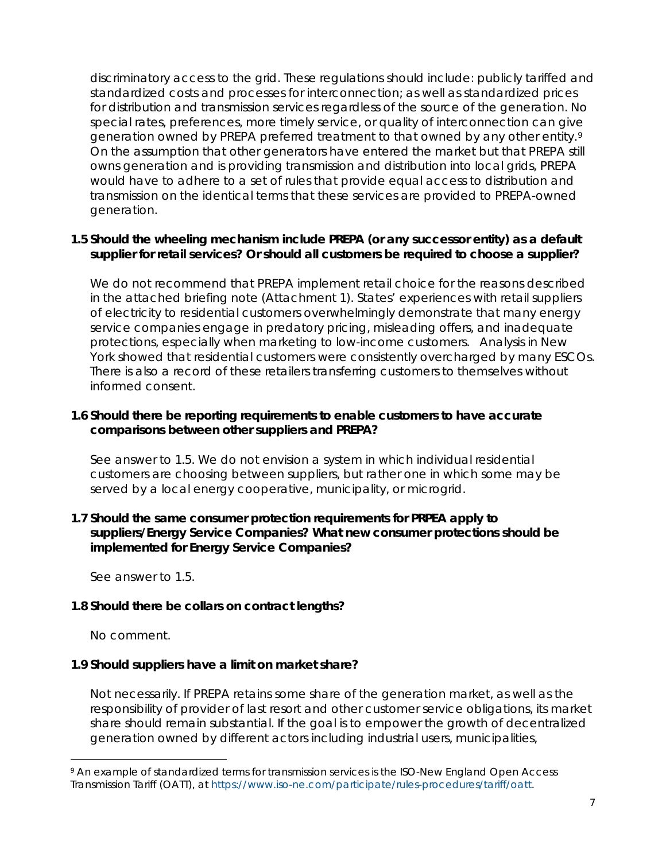discriminatory access to the grid. These regulations should include: publicly tariffed and standardized costs and processes for interconnection; as well as standardized prices for distribution and transmission services regardless of the source of the generation. No special rates, preferences, more timely service, or quality of interconnection can give generation owned by PREPA preferred treatment to that owned by any other entity.[9](#page-6-0) On the assumption that other generators have entered the market but that PREPA still owns generation and is providing transmission and distribution into local grids, PREPA would have to adhere to a set of rules that provide equal access to distribution and transmission on the identical terms that these services are provided to PREPA-owned generation.

#### **1.5 Should the wheeling mechanism include PREPA (or any successor entity) as a default supplier for retail services? Or should all customers be required to choose a supplier?**

We do not recommend that PREPA implement retail choice for the reasons described in the attached briefing note (Attachment 1). States' experiences with retail suppliers of electricity to residential customers overwhelmingly demonstrate that many energy service companies engage in predatory pricing, misleading offers, and inadequate protections, especially when marketing to low-income customers. Analysis in New York showed that residential customers were consistently overcharged by many ESCOs. There is also a record of these retailers transferring customers to themselves without informed consent.

#### **1.6 Should there be reporting requirements to enable customers to have accurate comparisons between other suppliers and PREPA?**

See answer to 1.5. We do not envision a system in which individual residential customers are choosing between suppliers, but rather one in which some may be served by a local energy cooperative, municipality, or microgrid.

#### **1.7 Should the same consumer protection requirements for PRPEA apply to suppliers/Energy Service Companies? What new consumer protections should be implemented for Energy Service Companies?**

See answer to 1.5.

#### **1.8 Should there be collars on contract lengths?**

No comment.

#### **1.9 Should suppliers have a limit on market share?**

Not necessarily. If PREPA retains some share of the generation market, as well as the responsibility of provider of last resort and other customer service obligations, its market share should remain substantial. If the goal is to empower the growth of decentralized generation owned by different actors including industrial users, municipalities,

<span id="page-6-0"></span><sup>&</sup>lt;sup>9</sup> An example of standardized terms for transmission services is the ISO-New England Open Access Transmission Tariff (OATT), at [https://www.iso-ne.com/participate/rules-procedures/tariff/oatt.](https://www.iso-ne.com/participate/rules-procedures/tariff/oatt)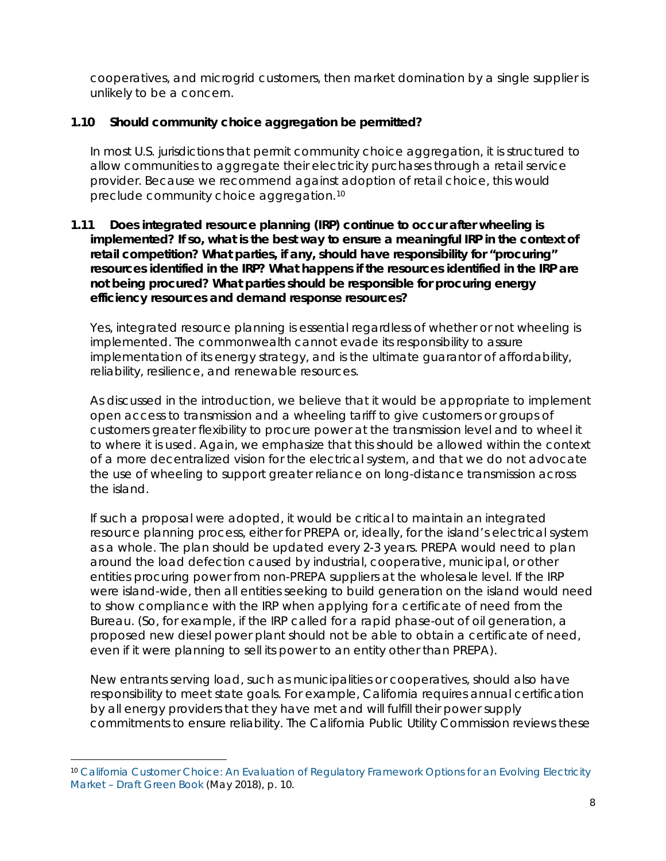cooperatives, and microgrid customers, then market domination by a single supplier is unlikely to be a concern.

#### **1.10 Should community choice aggregation be permitted?**

In most U.S. jurisdictions that permit community choice aggregation, it is structured to allow communities to aggregate their electricity purchases through a retail service provider. Because we recommend against adoption of retail choice, this would preclude community choice aggregation.[10](#page-7-0)

#### **1.11 Does integrated resource planning (IRP) continue to occur after wheeling is implemented? If so, what is the best way to ensure a meaningful IRP in the context of retail competition? What parties, if any, should have responsibility for "procuring" resources identified in the IRP? What happens if the resources identified in the IRP are not being procured? What parties should be responsible for procuring energy efficiency resources and demand response resources?**

Yes, integrated resource planning is essential regardless of whether or not wheeling is implemented. The commonwealth cannot evade its responsibility to assure implementation of its energy strategy, and is the ultimate guarantor of affordability, reliability, resilience, and renewable resources.

As discussed in the introduction, we believe that it would be appropriate to implement open access to transmission and a wheeling tariff to give customers or groups of customers greater flexibility to procure power at the transmission level and to wheel it to where it is used. Again, we emphasize that this should be allowed within the context of a more decentralized vision for the electrical system, and that we do not advocate the use of wheeling to support greater reliance on long-distance transmission across the island.

If such a proposal were adopted, it would be critical to maintain an integrated resource planning process, either for PREPA or, ideally, for the island's electrical system as a whole. The plan should be updated every 2-3 years. PREPA would need to plan around the load defection caused by industrial, cooperative, municipal, or other entities procuring power from non-PREPA suppliers at the wholesale level. If the IRP were island-wide, then all entities seeking to build generation on the island would need to show compliance with the IRP when applying for a certificate of need from the Bureau. (So, for example, if the IRP called for a rapid phase-out of oil generation, a proposed new diesel power plant should not be able to obtain a certificate of need, even if it were planning to sell its power to an entity other than PREPA).

New entrants serving load, such as municipalities or cooperatives, should also have responsibility to meet state goals. For example, California requires annual certification by all energy providers that they have met and will fulfill their power supply commitments to ensure reliability. The California Public Utility Commission reviews these

<span id="page-7-0"></span> <sup>10</sup> *[California Customer Choice: An Evaluation of Regulatory Framework Options for an Evolving Electricity](http://www.cpuc.ca.gov/uploadedFiles/CPUC_Public_Website/Content/Utilities_and_Industries/Energy_-_Electricity_and_Natural_Gas/CCC%20Paper.pdf)  Market – [Draft Green Book](http://www.cpuc.ca.gov/uploadedFiles/CPUC_Public_Website/Content/Utilities_and_Industries/Energy_-_Electricity_and_Natural_Gas/CCC%20Paper.pdf)* (May 2018), p. 10.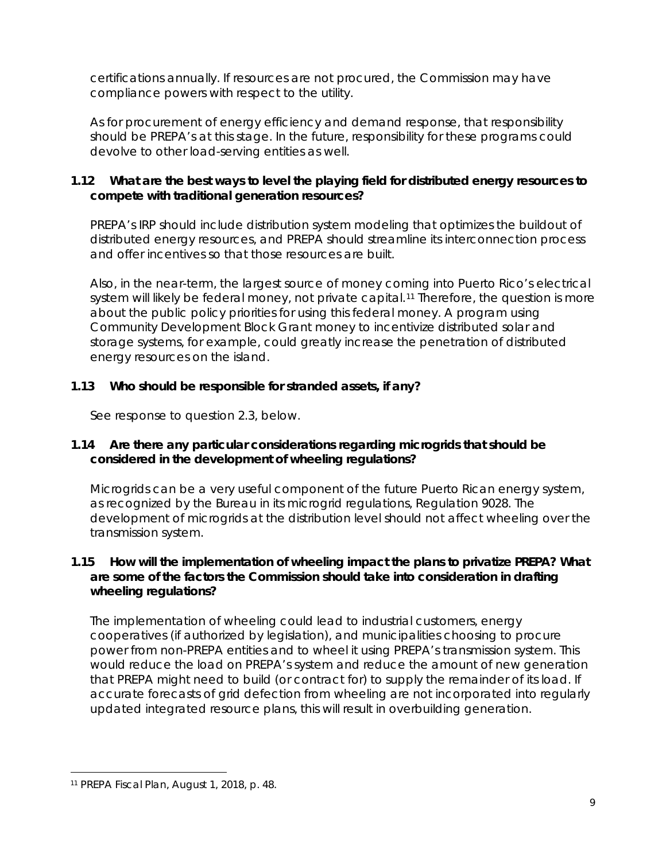certifications annually. If resources are not procured, the Commission may have compliance powers with respect to the utility.

As for procurement of energy efficiency and demand response, that responsibility should be PREPA's at this stage. In the future, responsibility for these programs could devolve to other load-serving entities as well.

#### **1.12 What are the best ways to level the playing field for distributed energy resources to compete with traditional generation resources?**

PREPA's IRP should include distribution system modeling that optimizes the buildout of distributed energy resources, and PREPA should streamline its interconnection process and offer incentives so that those resources are built.

Also, in the near-term, the largest source of money coming into Puerto Rico's electrical system will likely be federal money, not private capital.<sup>[11](#page-8-0)</sup> Therefore, the question is more about the public policy priorities for using this federal money. A program using Community Development Block Grant money to incentivize distributed solar and storage systems, for example, could greatly increase the penetration of distributed energy resources on the island.

#### **1.13 Who should be responsible for stranded assets, if any?**

See response to question 2.3, below.

#### **1.14 Are there any particular considerations regarding microgrids that should be considered in the development of wheeling regulations?**

Microgrids can be a very useful component of the future Puerto Rican energy system, as recognized by the Bureau in its microgrid regulations, Regulation 9028. The development of microgrids at the distribution level should not affect wheeling over the transmission system.

#### **1.15 How will the implementation of wheeling impact the plans to privatize PREPA? What are some of the factors the Commission should take into consideration in drafting wheeling regulations?**

The implementation of wheeling could lead to industrial customers, energy cooperatives (if authorized by legislation), and municipalities choosing to procure power from non-PREPA entities and to wheel it using PREPA's transmission system. This would reduce the load on PREPA's system and reduce the amount of new generation that PREPA might need to build (or contract for) to supply the remainder of its load. If accurate forecasts of grid defection from wheeling are not incorporated into regularly updated integrated resource plans, this will result in overbuilding generation.

<span id="page-8-0"></span> <sup>11</sup> PREPA Fiscal Plan, August 1, 2018, p. 48.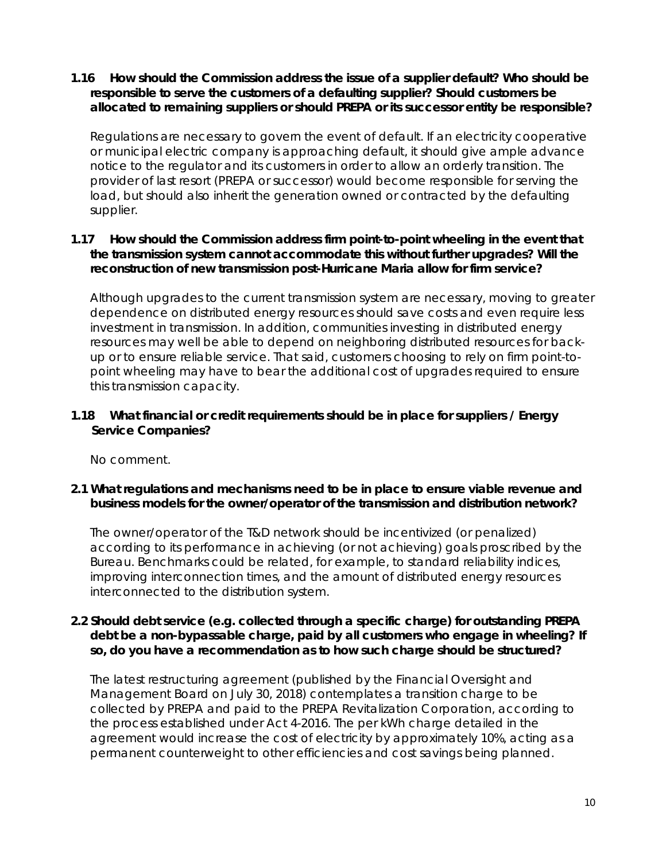#### **1.16 How should the Commission address the issue of a supplier default? Who should be responsible to serve the customers of a defaulting supplier? Should customers be allocated to remaining suppliers or should PREPA or its successor entity be responsible?**

Regulations are necessary to govern the event of default. If an electricity cooperative or municipal electric company is approaching default, it should give ample advance notice to the regulator and its customers in order to allow an orderly transition. The provider of last resort (PREPA or successor) would become responsible for serving the load, but should also inherit the generation owned or contracted by the defaulting supplier.

#### **1.17 How should the Commission address firm point-to-point wheeling in the event that the transmission system cannot accommodate this without further upgrades? Will the reconstruction of new transmission post-Hurricane Maria allow for firm service?**

Although upgrades to the current transmission system are necessary, moving to greater dependence on distributed energy resources should save costs and even require less investment in transmission. In addition, communities investing in distributed energy resources may well be able to depend on neighboring distributed resources for backup or to ensure reliable service. That said, customers choosing to rely on firm point-topoint wheeling may have to bear the additional cost of upgrades required to ensure this transmission capacity.

#### **1.18 What financial or credit requirements should be in place for suppliers / Energy Service Companies?**

No comment.

#### **2.1 What regulations and mechanisms need to be in place to ensure viable revenue and business models for the owner/operator of the transmission and distribution network?**

The owner/operator of the T&D network should be incentivized (or penalized) according to its performance in achieving (or not achieving) goals proscribed by the Bureau. Benchmarks could be related, for example, to standard reliability indices, improving interconnection times, and the amount of distributed energy resources interconnected to the distribution system.

#### **2.2 Should debt service (e.g. collected through a specific charge) for outstanding PREPA debt be a non-bypassable charge, paid by all customers who engage in wheeling? If so, do you have a recommendation as to how such charge should be structured?**

The latest restructuring agreement (published by the Financial Oversight and Management Board on July 30, 2018) contemplates a transition charge to be collected by PREPA and paid to the PREPA Revitalization Corporation, according to the process established under Act 4-2016. The per kWh charge detailed in the agreement would increase the cost of electricity by approximately 10%, acting as a permanent counterweight to other efficiencies and cost savings being planned.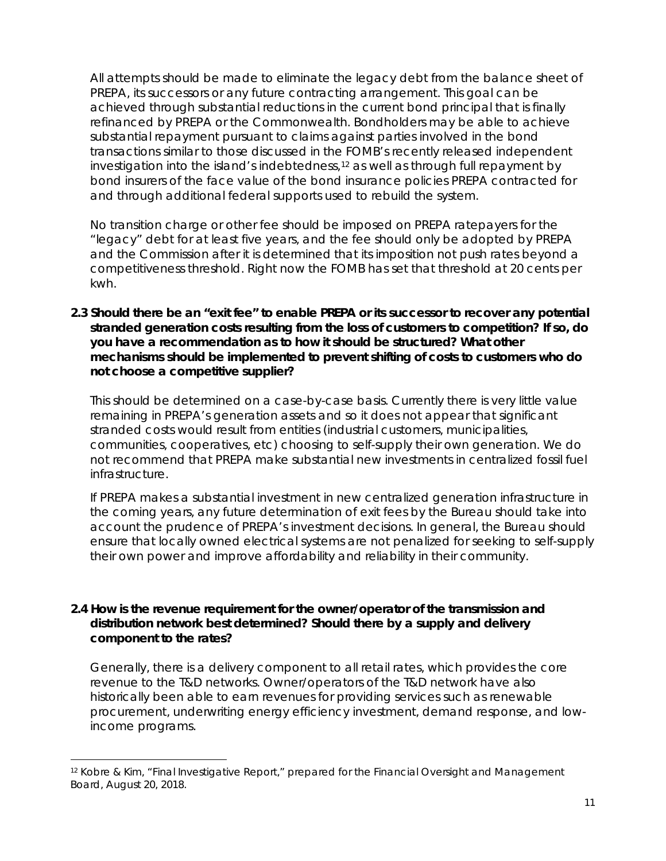All attempts should be made to eliminate the legacy debt from the balance sheet of PREPA, its successors or any future contracting arrangement. This goal can be achieved through substantial reductions in the current bond principal that is finally refinanced by PREPA or the Commonwealth. Bondholders may be able to achieve substantial repayment pursuant to claims against parties involved in the bond transactions similar to those discussed in the FOMB's recently released independent investigation into the island's indebtedness,[12](#page-10-0) as well as through full repayment by bond insurers of the face value of the bond insurance policies PREPA contracted for and through additional federal supports used to rebuild the system.

No transition charge or other fee should be imposed on PREPA ratepayers for the "legacy" debt for at least five years, and the fee should only be adopted by PREPA and the Commission after it is determined that its imposition not push rates beyond a competitiveness threshold. Right now the FOMB has set that threshold at 20 cents per kwh.

**2.3 Should there be an "exit fee" to enable PREPA or its successor to recover any potential stranded generation costs resulting from the loss of customers to competition? If so, do you have a recommendation as to how it should be structured? What other mechanisms should be implemented to prevent shifting of costs to customers who do not choose a competitive supplier?**

This should be determined on a case-by-case basis. Currently there is very little value remaining in PREPA's generation assets and so it does not appear that significant stranded costs would result from entities (industrial customers, municipalities, communities, cooperatives, etc) choosing to self-supply their own generation. We do not recommend that PREPA make substantial new investments in centralized fossil fuel infrastructure.

If PREPA makes a substantial investment in new centralized generation infrastructure in the coming years, any future determination of exit fees by the Bureau should take into account the prudence of PREPA's investment decisions. In general, the Bureau should ensure that locally owned electrical systems are not penalized for seeking to self-supply their own power and improve affordability and reliability in their community.

#### **2.4 How is the revenue requirement for the owner/operator of the transmission and distribution network best determined? Should there by a supply and delivery component to the rates?**

Generally, there is a delivery component to all retail rates, which provides the core revenue to the T&D networks. Owner/operators of the T&D network have also historically been able to earn revenues for providing services such as renewable procurement, underwriting energy efficiency investment, demand response, and lowincome programs.

<span id="page-10-0"></span> <sup>12</sup> Kobre & Kim, "Final Investigative Report," prepared for the Financial Oversight and Management Board, August 20, 2018.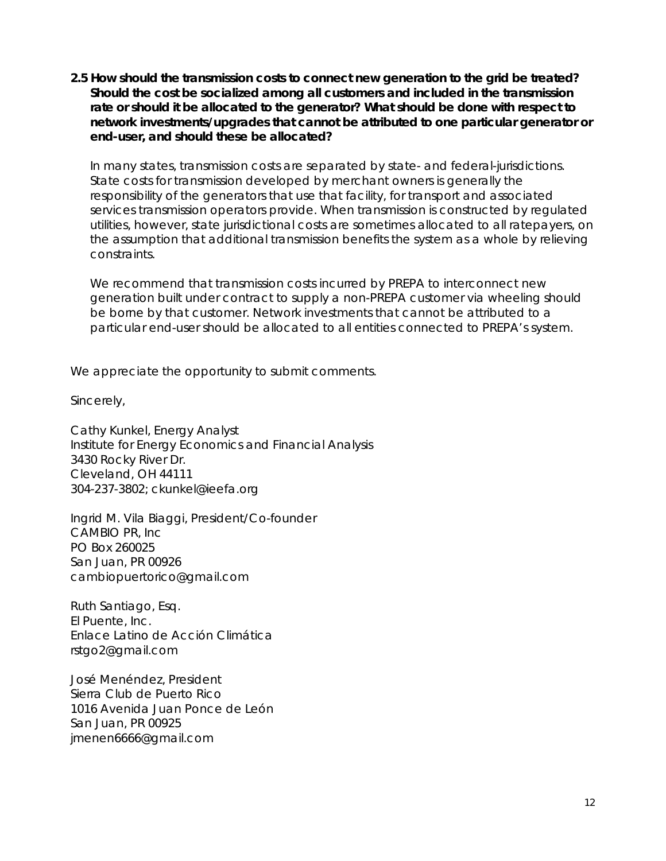**2.5 How should the transmission costs to connect new generation to the grid be treated? Should the cost be socialized among all customers and included in the transmission rate or should it be allocated to the generator? What should be done with respect to network investments/upgrades that cannot be attributed to one particular generator or end-user, and should these be allocated?**

In many states, transmission costs are separated by state- and federal-jurisdictions. State costs for transmission developed by merchant owners is generally the responsibility of the generators that use that facility, for transport and associated services transmission operators provide. When transmission is constructed by regulated utilities, however, state jurisdictional costs are sometimes allocated to all ratepayers, on the assumption that additional transmission benefits the system as a whole by relieving constraints.

We recommend that transmission costs incurred by PREPA to interconnect new generation built under contract to supply a non-PREPA customer via wheeling should be borne by that customer. Network investments that cannot be attributed to a particular end-user should be allocated to all entities connected to PREPA's system.

We appreciate the opportunity to submit comments.

Sincerely,

Cathy Kunkel, Energy Analyst Institute for Energy Economics and Financial Analysis 3430 Rocky River Dr. Cleveland, OH 44111 304-237-3802; ckunkel@ieefa.org

Ingrid M. Vila Biaggi, President/Co-founder CAMBIO PR, Inc PO Box 260025 San Juan, PR 00926 [cambiopuertorico@gmail.com](mailto:cambiopuertorico@gmail.com)

Ruth Santiago, Esq. El Puente, Inc. Enlace Latino de Acción Climática rstgo2@gmail.com

José Menéndez, President Sierra Club de Puerto Rico 1016 Avenida Juan Ponce de León San Juan, PR 00925 jmenen6666@gmail.com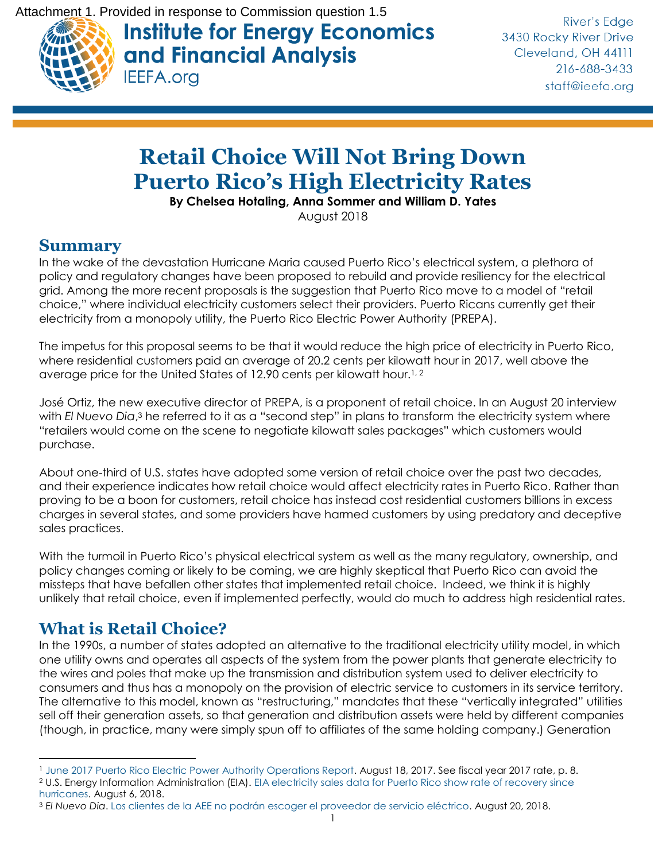

**Institute for Energy Economics** and Financial Analysis **IEEFA.org** 

**River's Edge** 3430 Rocky River Drive Cleveland, OH 44111 216-688-3433 staff@ieefa.org

# **Retail Choice Will Not Bring Down Puerto Rico's High Electricity Rates**

**By Chelsea Hotaling, Anna Sommer and William D. Yates** August 2018

### **Summary**

In the wake of the devastation Hurricane Maria caused Puerto Rico's electrical system, a plethora of policy and regulatory changes have been proposed to rebuild and provide resiliency for the electrical grid. Among the more recent proposals is the suggestion that Puerto Rico move to a model of "retail choice," where individual electricity customers select their providers. Puerto Ricans currently get their electricity from a monopoly utility, the Puerto Rico Electric Power Authority (PREPA).

The impetus for this proposal seems to be that it would reduce the high price of electricity in Puerto Rico, where residential customers paid an average of 20.2 cents per kilowatt hour in 2017, well above the average price for the United States of 12.90 cents per kilowatt hour.<sup>1,2</sup>

José Ortiz, the new executive director of PREPA, is a proponent of retail choice. In an August 20 interview with *El Nuevo Dia*,<sup>3</sup> he referred to it as a "second step" in plans to transform the electricity system where "retailers would come on the scene to negotiate kilowatt sales packages" which customers would purchase.

About one-third of U.S. states have adopted some version of retail choice over the past two decades, and their experience indicates how retail choice would affect electricity rates in Puerto Rico. Rather than proving to be a boon for customers, retail choice has instead cost residential customers billions in excess charges in several states, and some providers have harmed customers by using predatory and deceptive sales practices.

With the turmoil in Puerto Rico's physical electrical system as well as the many regulatory, ownership, and policy changes coming or likely to be coming, we are highly skeptical that Puerto Rico can avoid the missteps that have befallen other states that implemented retail choice. Indeed, we think it is highly unlikely that retail choice, even if implemented perfectly, would do much to address high residential rates.

### **What is Retail Choice?**

 $\overline{a}$ 

In the 1990s, a number of states adopted an alternative to the traditional electricity utility model, in which one utility owns and operates all aspects of the system from the power plants that generate electricity to the wires and poles that make up the transmission and distribution system used to deliver electricity to consumers and thus has a monopoly on the provision of electric service to customers in its service territory. The alternative to this model, known as "restructuring," mandates that these "vertically integrated" utilities sell off their generation assets, so that generation and distribution assets were held by different companies (though, in practice, many were simply spun off to affiliates of the same holding company.) Generation

<sup>&</sup>lt;sup>1</sup> [June 2017 Puerto Rico Electric Power Authority Operations Report.](https://www.aeepr.com/INVESTORS/DOCS/Financial%20Information/Monthly%20Reports/2017/June%202017.pdf) August 18, 2017. See fiscal year 2017 rate, p. 8. <sup>2</sup> U.S. Energy Information Administration (EIA). [EIA electricity sales data for Puerto Rico show rate of recovery since](https://www.eia.gov/todayinenergy/detail.php?id=36832)  [hurricanes.](https://www.eia.gov/todayinenergy/detail.php?id=36832) August 6, 2018.

<sup>3</sup> *El Nuevo Dia*. [Los clientes de la AEE no podrán escoger el proveedor de servicio eléctrico.](https://www.elnuevodia.com/noticias/locales/nota/losclientesdelaaeenopodranescogerelproveedordeservicioelectrico-2437742/) August 20, 2018.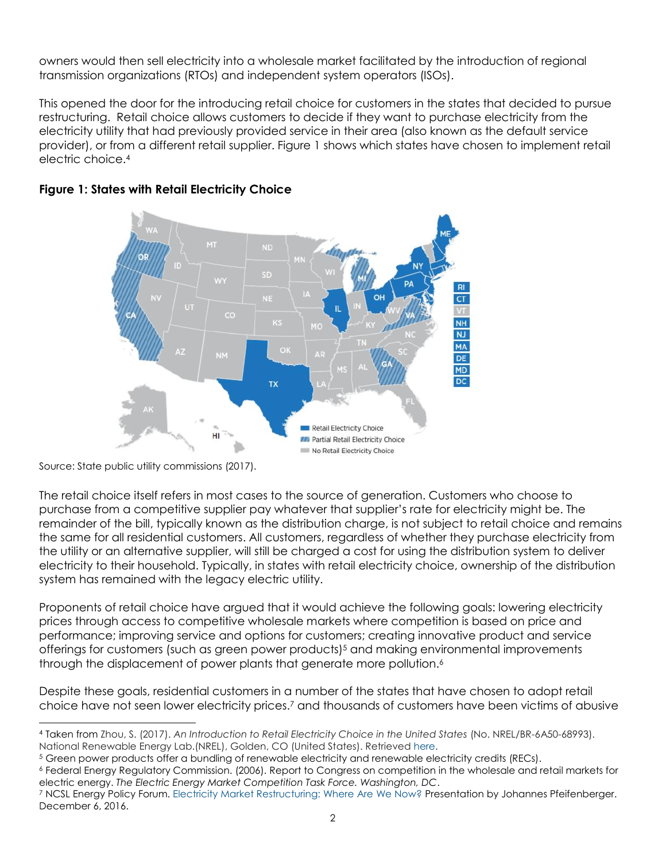owners would then sell electricity into a wholesale market facilitated by the introduction of regional transmission organizations (RTOs) and independent system operators (ISOs).

This opened the door for the introducing retail choice for customers in the states that decided to pursue restructuring. Retail choice allows customers to decide if they want to purchase electricity from the electricity utility that had previously provided service in their area (also known as the default service provider), or from a different retail supplier. Figure 1 shows which states have chosen to implement retail electric choice. 4



#### **Figure 1: States with Retail Electricity Choice**

Source: State public utility commissions (2017).

The retail choice itself refers in most cases to the source of generation. Customers who choose to purchase from a competitive supplier pay whatever that supplier's rate for electricity might be. The remainder of the bill, typically known as the distribution charge, is not subject to retail choice and remains the same for all residential customers. All customers, regardless of whether they purchase electricity from the utility or an alternative supplier, will still be charged a cost for using the distribution system to deliver electricity to their household. Typically, in states with retail electricity choice, ownership of the distribution system has remained with the legacy electric utility.

Proponents of retail choice have argued that it would achieve the following goals: lowering electricity prices through access to competitive wholesale markets where competition is based on price and performance; improving service and options for customers; creating innovative product and service offerings for customers (such as green power products) <sup>5</sup> and making environmental improvements through the displacement of power plants that generate more pollution.<sup>6</sup>

Despite these goals, residential customers in a number of the states that have chosen to adopt retail choice have not seen lower electricity prices. <sup>7</sup> and thousands of customers have been victims of abusive

<sup>4</sup> Taken from Zhou, S. (2017). *An Introduction to Retail Electricity Choice in the United States* (No. NREL/BR-6A50-68993). National Renewable Energy Lab.(NREL), Golden, CO (United States). Retrieved [here.](https://www.nrel.gov/docs/fy18osti/68993.pdf)

<sup>5</sup> Green power products offer a bundling of renewable electricity and renewable electricity credits (RECs).

<sup>6</sup> Federal Energy Regulatory Commission. (2006). [Report to Congress on competition in the wholesale and retail markets for](https://www.ferc.gov/legal/fed-sta/ene-pol-act/epact-final-rpt.pdf)  [electric energy.](https://www.ferc.gov/legal/fed-sta/ene-pol-act/epact-final-rpt.pdf) *The Electric Energy Market Competition Task Force. Washington, DC*.

<sup>7</sup> NCSL Energy Policy Forum. [Electricity Market Restructuring: Where Are We Now?](http://www.ncsl.org/Portals/1/Documents/energy/Energy_Pfeifenberger_Johannes_present.pdf) Presentation by Johannes Pfeifenberger. December 6, 2016.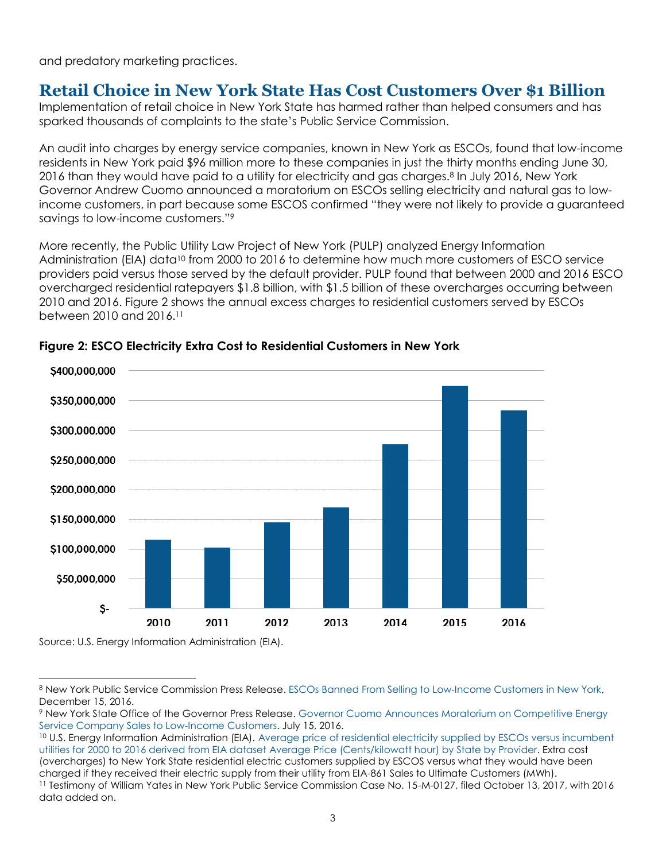and predatory marketing practices.

### **Retail Choice in New York State Has Cost Customers Over \$1 Billion**

Implementation of retail choice in New York State has harmed rather than helped consumers and has sparked thousands of complaints to the state's Public Service Commission.

An audit into charges by energy service companies, known in New York as ESCOs, found that low-income residents in New York paid \$96 million more to these companies in just the thirty months ending June 30, 2016 than they would have paid to a utility for electricity and gas charges.<sup>8</sup> In July 2016, New York Governor Andrew Cuomo announced a moratorium on ESCOs selling electricity and natural gas to lowincome customers, in part because some ESCOS confirmed "they were not likely to provide a guaranteed savings to low-income customers."<sup>9</sup>

More recently, the Public Utility Law Project of New York (PULP) analyzed Energy Information Administration (EIA) data<sup>10</sup> from 2000 to 2016 to determine how much more customers of ESCO service providers paid versus those served by the default provider. PULP found that between 2000 and 2016 ESCO overcharged residential ratepayers \$1.8 billion, with \$1.5 billion of these overcharges occurring between 2010 and 2016. Figure 2 shows the annual excess charges to residential customers served by ESCOs between 2010 and 2016.<sup>11</sup>



#### **Figure 2: ESCO Electricity Extra Cost to Residential Customers in New York**

Source: U.S. Energy Information Administration (EIA).

 $\overline{a}$ 

<sup>8</sup> New York Public Service Commission Press Release. ESCOs Banned From Selling to [Low-Income Customers in New York,](http://www3.dps.ny.gov/W/AskPSC.nsf/96f0fec0b45a3c6485257688006a701a/9398a8fe616603ce85258243006e4b99/$FILE/pr16085.pdf) December 15, 2016.

<sup>9</sup> New York State Office of the Governor Press Release. [Governor Cuomo Announces Moratorium on Competitive Energy](https://www.governor.ny.gov/news/governor-cuomo-announces-moratorium-competitive-energy-service-company-sales-low-income)  [Service Company Sales to Low-Income Customers.](https://www.governor.ny.gov/news/governor-cuomo-announces-moratorium-competitive-energy-service-company-sales-low-income) July 15, 2016.

<sup>10</sup> U.S. Energy Information Administration (EIA). [Average price of residential electricity supplied by ESCOs versus incumbent](https://www.eia.gov/electricity/data.php)  [utilities for 2000 to 2016 derived from EIA dataset Average Price \(Cents/kilowatt hour\) by State by Provider.](https://www.eia.gov/electricity/data.php) Extra cost (overcharges) to New York State residential electric customers supplied by ESCOS versus what they would have been charged if they received their electric supply from their utility from EIA-861 Sales to Ultimate Customers (MWh). <sup>11</sup> Testimony of William Yates in New York Public Service Commission Case No. 15-M-0127, filed October 13, 2017, with 2016 data added on.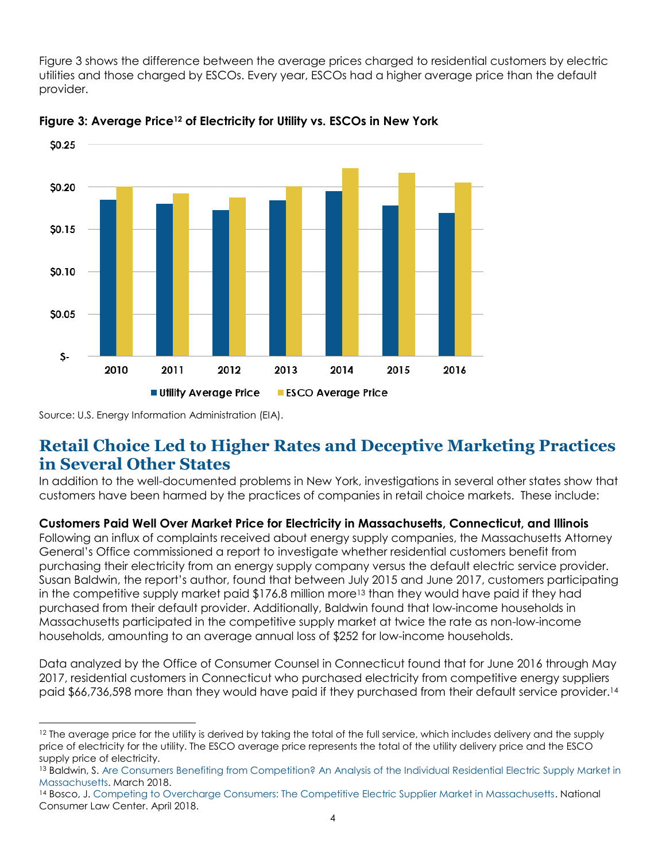Figure 3 shows the difference between the average prices charged to residential customers by electric utilities and those charged by ESCOs. Every year, ESCOs had a higher average price than the default provider.





Source: U.S. Energy Information Administration (EIA).

### **Retail Choice Led to Higher Rates and Deceptive Marketing Practices in Several Other States**

In addition to the well-documented problems in New York, investigations in several other states show that customers have been harmed by the practices of companies in retail choice markets. These include:

**Customers Paid Well Over Market Price for Electricity in Massachusetts, Connecticut, and Illinois** Following an influx of complaints received about energy supply companies, the Massachusetts Attorney General's Office commissioned a report to investigate whether residential customers benefit from purchasing their electricity from an energy supply company versus the default electric service provider. Susan Baldwin, the report's author, found that between July 2015 and June 2017, customers participating in the competitive supply market paid  $$176.8$  million more<sup>13</sup> than they would have paid if they had purchased from their default provider. Additionally, Baldwin found that low-income households in Massachusetts participated in the competitive supply market at twice the rate as non-low-income households, amounting to an average annual loss of \$252 for low-income households.

Data analyzed by the Office of Consumer Counsel in Connecticut found that for June 2016 through May 2017, residential customers in Connecticut who purchased electricity from competitive energy suppliers paid \$66,736,598 more than they would have paid if they purchased from their default service provider. 14

<sup>14</sup> Bosco, J[. Competing to Overcharge Consumers: The Competitive Electric Supplier Market in Massachusetts.](http://www.nclc.org/images/pdf/pr-reports/competitive-energy-supply-report.pdf) National Consumer Law Center. April 2018.

<sup>&</sup>lt;sup>12</sup> The average price for the utility is derived by taking the total of the full service, which includes delivery and the supply price of electricity for the utility. The ESCO average price represents the total of the utility delivery price and the ESCO supply price of electricity.

<sup>13</sup> Baldwin, S. Are Consumers Benefiting from Competition? An Analysis of the Individual Residential Electric Supply Market in [Massachusetts.](https://www.energymarketers.com/Documents/Comp_Supply_Report_Final_032918.pdf) March 2018.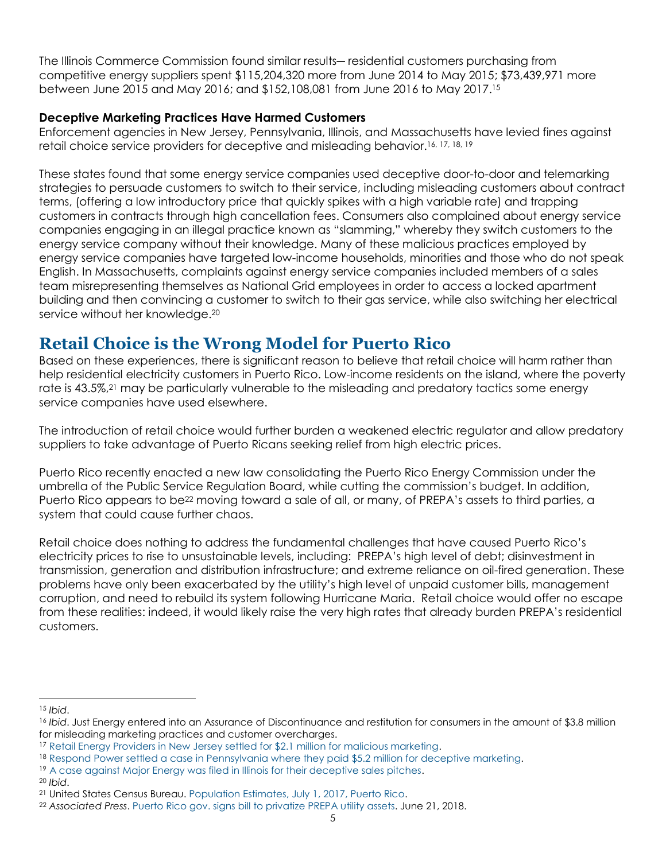The Illinois Commerce Commission found similar results— residential customers purchasing from competitive energy suppliers spent \$115,204,320 more from June 2014 to May 2015; \$73,439,971 more between June 2015 and May 2016; and \$152,108,081 from June 2016 to May 2017.<sup>15</sup>

#### **Deceptive Marketing Practices Have Harmed Customers**

Enforcement agencies in New Jersey, Pennsylvania, Illinois, and Massachusetts have levied fines against retail choice service providers for deceptive and misleading behavior.16, 17, 18, 19

These states found that some energy service companies used deceptive door-to-door and telemarking strategies to persuade customers to switch to their service, including misleading customers about contract terms, (offering a low introductory price that quickly spikes with a high variable rate) and trapping customers in contracts through high cancellation fees. Consumers also complained about energy service companies engaging in an illegal practice known as "slamming," whereby they switch customers to the energy service company without their knowledge. Many of these malicious practices employed by energy service companies have targeted low-income households, minorities and those who do not speak English. In Massachusetts, complaints against energy service companies included members of a sales team misrepresenting themselves as National Grid employees in order to access a locked apartment building and then convincing a customer to switch to their gas service, while also switching her electrical service without her knowledge.<sup>20</sup>

### **Retail Choice is the Wrong Model for Puerto Rico**

Based on these experiences, there is significant reason to believe that retail choice will harm rather than help residential electricity customers in Puerto Rico. Low-income residents on the island, where the poverty rate is 43.5%,<sup>21</sup> may be particularly vulnerable to the misleading and predatory tactics some energy service companies have used elsewhere.

The introduction of retail choice would further burden a weakened electric regulator and allow predatory suppliers to take advantage of Puerto Ricans seeking relief from high electric prices.

Puerto Rico recently enacted a new law consolidating the Puerto Rico Energy Commission under the umbrella of the Public Service Regulation Board, while cutting the commission's budget. In addition, Puerto Rico appears to be<sup>22</sup> moving toward a sale of all, or many, of PREPA's assets to third parties, a system that could cause further chaos.

Retail choice does nothing to address the fundamental challenges that have caused Puerto Rico's electricity prices to rise to unsustainable levels, including: PREPA's high level of debt; disinvestment in transmission, generation and distribution infrastructure; and extreme reliance on oil-fired generation. These problems have only been exacerbated by the utility's high level of unpaid customer bills, management corruption, and need to rebuild its system following Hurricane Maria. Retail choice would offer no escape from these realities: indeed, it would likely raise the very high rates that already burden PREPA's residential customers.

 <sup>15</sup> *Ibid*.

<sup>&</sup>lt;sup>16</sup> Ibid. Just Energy entered into an Assurance of Discontinuance and restitution for consumers in the amount of \$3.8 million for misleading marketing practices and customer overcharges.

<sup>17</sup> [Retail Energy Providers in New Jersey settled for \\$2.1 million for malicious marketing.](https://www.njconsumeraffairs.gov/News/Pages/01082015b.aspx)

<sup>18</sup> [Respond Power settled a case in Pennsylvania where they paid \\$5.2 million for deceptive marketing.](http://www.puc.state.pa.us/about_puc/press_releases.aspx?ShowPR=3740)

<sup>&</sup>lt;sup>19</sup> [A case against Major Energy was filed in Illinois for their deceptive sales pitches.](http://illinoisattorneygeneral.gov/pressroom/2018_04/20180409.html)

<sup>20</sup> *Ibid*.

<sup>21</sup> United States Census Bureau. [Population Estimates, July 1, 2017, Puerto Rico.](https://www.census.gov/quickfacts/pr)

<sup>22</sup> *Associated Press*. [Puerto Rico gov. signs bill to privatize PREPA utility assets.](https://www.elp.com/articles/2018/06/puerto-rico-gov-signs-bill-to-privatize-prepa-utility-assets.html) June 21, 2018.